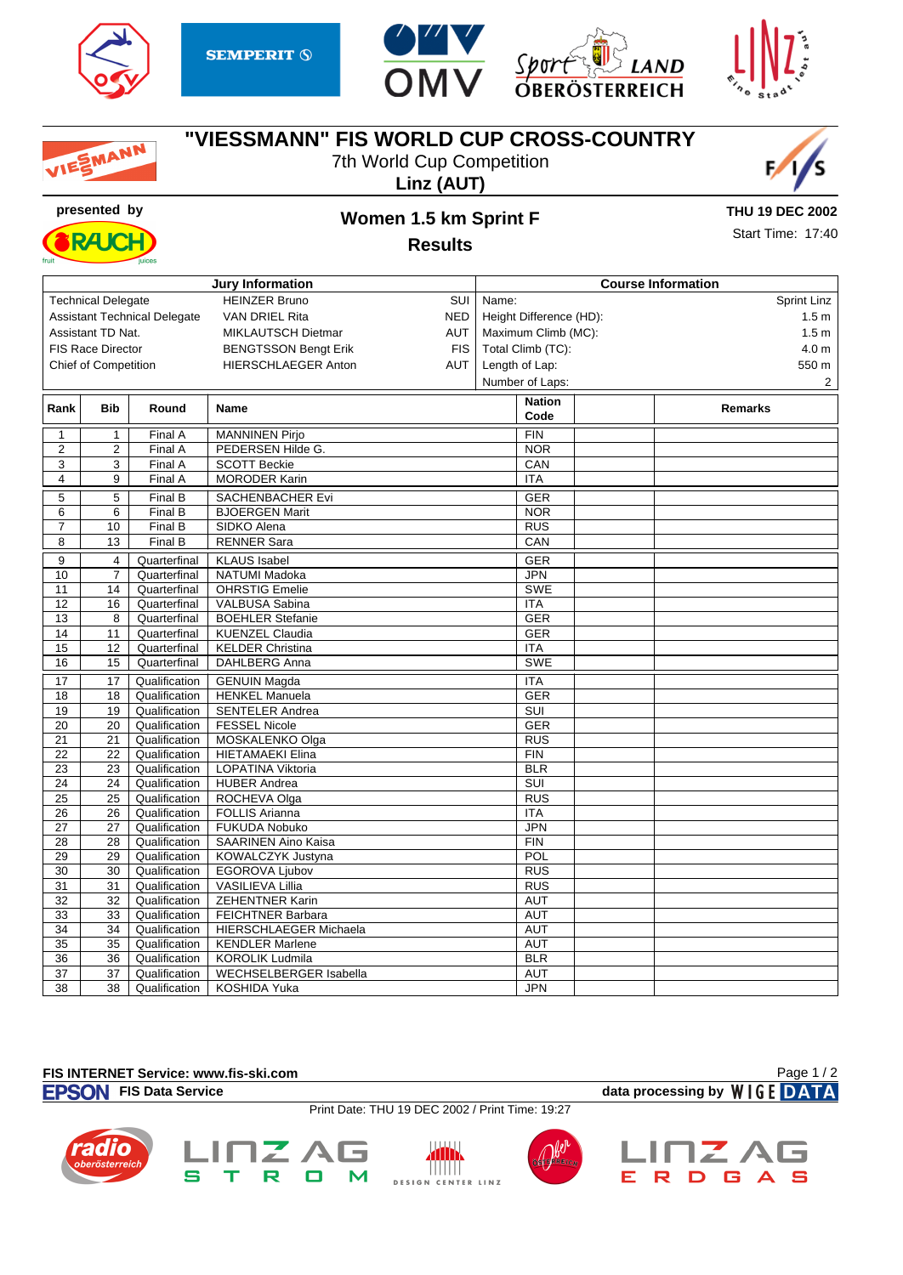

EMANN







## **"VIESSMANN" FIS WORLD CUP CROSS-COUNTRY**

7th World Cup Competition







## **presented by Women 1.5 km Sprint F**

**THU 19 DEC 2002**

**Results**

|  | THU Từ DLU LƯỢC   |  |
|--|-------------------|--|
|  | Start Time: 17:40 |  |

|                   |                             |                                     | <b>Jury Information</b>                   | <b>Course Information</b> |  |                  |
|-------------------|-----------------------------|-------------------------------------|-------------------------------------------|---------------------------|--|------------------|
|                   | <b>Technical Delegate</b>   |                                     | <b>HEINZER Bruno</b><br>SUI               | Name:                     |  | Sprint Linz      |
|                   |                             | <b>Assistant Technical Delegate</b> | <b>VAN DRIEL Rita</b><br><b>NED</b>       | Height Difference (HD):   |  | 1.5m             |
| Assistant TD Nat. |                             |                                     | <b>AUT</b><br>MIKLAUTSCH Dietmar          | Maximum Climb (MC):       |  | 1.5 <sub>m</sub> |
|                   | <b>FIS Race Director</b>    |                                     | <b>BENGTSSON Bengt Erik</b><br><b>FIS</b> | Total Climb (TC):         |  | 4.0 <sub>m</sub> |
|                   | <b>Chief of Competition</b> |                                     | <b>HIERSCHLAEGER Anton</b><br>AUT         | Length of Lap:            |  | 550 m            |
|                   |                             |                                     |                                           | Number of Laps:           |  | $\overline{2}$   |
|                   |                             |                                     |                                           |                           |  |                  |
| Rank              | <b>Bib</b>                  | Round                               | Name                                      | <b>Nation</b><br>Code     |  | <b>Remarks</b>   |
| 1                 | $\mathbf{1}$                | Final A                             | <b>MANNINEN Pirjo</b>                     | <b>FIN</b>                |  |                  |
| $\overline{2}$    | $\overline{2}$              | Final A                             | PEDERSEN Hilde G.                         | <b>NOR</b>                |  |                  |
| 3                 | 3                           | Final A                             | <b>SCOTT Beckie</b>                       | CAN                       |  |                  |
| $\overline{4}$    | 9                           | Final A                             | <b>MORODER Karin</b>                      | <b>ITA</b>                |  |                  |
| 5                 | 5                           | Final B                             | <b>SACHENBACHER Evi</b>                   | <b>GER</b>                |  |                  |
| 6                 | 6                           | Final B                             | <b>BJOERGEN Marit</b>                     | <b>NOR</b>                |  |                  |
| $\overline{7}$    | 10                          | Final B                             | SIDKO Alena                               | RUS                       |  |                  |
| 8                 | $\overline{13}$             | Final B                             | <b>RENNER Sara</b>                        | CAN                       |  |                  |
| 9                 | 4                           | Quarterfinal                        | <b>KLAUS Isabel</b>                       | <b>GER</b>                |  |                  |
| 10                | $\overline{7}$              | Quarterfinal                        | <b>NATUMI Madoka</b>                      | <b>JPN</b>                |  |                  |
| 11                | 14                          | Quarterfinal                        | <b>OHRSTIG Emelie</b>                     | <b>SWE</b>                |  |                  |
| $\overline{12}$   | 16                          | Quarterfinal                        | <b>VALBUSA Sabina</b>                     | <b>ITA</b>                |  |                  |
| 13                | 8                           | Quarterfinal                        | <b>BOEHLER Stefanie</b>                   | <b>GER</b>                |  |                  |
| 14                | 11                          | Quarterfinal                        | KUENZEL Claudia                           | <b>GER</b>                |  |                  |
| 15                | 12                          | Quarterfinal                        | <b>KELDER Christina</b>                   | <b>ITA</b>                |  |                  |
| 16                | 15                          | Quarterfinal                        | <b>DAHLBERG Anna</b>                      | <b>SWE</b>                |  |                  |
| 17                | 17                          | Qualification                       | <b>GENUIN Magda</b>                       | <b>ITA</b>                |  |                  |
| $\overline{18}$   | 18                          | Qualification                       | <b>HENKEL Manuela</b>                     | <b>GER</b>                |  |                  |
| 19                | 19                          | Qualification                       | SENTELER Andrea                           | <b>SUI</b>                |  |                  |
| 20                | 20                          | Qualification                       | <b>FESSEL Nicole</b>                      | <b>GER</b>                |  |                  |
| $\overline{21}$   | $\overline{21}$             | Qualification                       | MOSKALENKO Olga                           | RUS                       |  |                  |
| 22                | 22                          | Qualification                       | <b>HIETAMAEKI Elina</b>                   | <b>FIN</b>                |  |                  |
| 23                | 23                          | Qualification                       | LOPATINA Viktoria                         | <b>BLR</b>                |  |                  |
| $\overline{24}$   | 24                          | Qualification                       | <b>HUBER Andrea</b>                       | SUI                       |  |                  |
| $\overline{25}$   | $\overline{25}$             | Qualification                       | ROCHEVA Olga                              | <b>RUS</b>                |  |                  |
| 26                | 26                          | Qualification                       | <b>FOLLIS Arianna</b>                     | <b>ITA</b>                |  |                  |
| 27                | 27                          | Qualification                       | <b>FUKUDA Nobuko</b>                      | JPN                       |  |                  |
| 28                | 28                          | Qualification                       | <b>SAARINEN Aino Kaisa</b>                | <b>FIN</b>                |  |                  |
| 29                | 29                          | Qualification                       | KOWALCZYK Justyna                         | <b>POL</b>                |  |                  |
| 30                | 30                          | Qualification                       | EGOROVA Ljubov                            | <b>RUS</b>                |  |                  |
| $\overline{31}$   | 31                          | Qualification                       | <b>VASILIEVA Lillia</b>                   | RUS                       |  |                  |
| 32                | $\overline{32}$             | Qualification                       | <b>ZEHENTNER Karin</b>                    | <b>AUT</b>                |  |                  |
| $\overline{33}$   | 33                          | Qualification                       | <b>FEICHTNER Barbara</b>                  | <b>AUT</b>                |  |                  |
| $\overline{34}$   | $\overline{34}$             | Qualification                       | <b>HIERSCHLAEGER Michaela</b>             | <b>AUT</b>                |  |                  |
| 35                | 35                          | Qualification                       | <b>KENDLER Marlene</b>                    | <b>AUT</b>                |  |                  |
| 36                | 36                          | Qualification                       | <b>KOROLIK Ludmila</b>                    | <b>BLR</b>                |  |                  |
| 37                | 37                          | Qualification                       | <b>WECHSELBERGER Isabella</b>             | <b>AUT</b>                |  |                  |
| 38                | 38                          | Qualification                       | KOSHIDA Yuka                              | <b>JPN</b>                |  |                  |

## **FIS INTERNET Service: www.fis-ski.com**

 $\mathbf S$ 

**FISON** FIS Data Service **data processing by** WIGE DATA

Page 1 / 2

Print Date: THU 19 DEC 2002 / Print Time: 19:27

ŴЬ

TITITITI